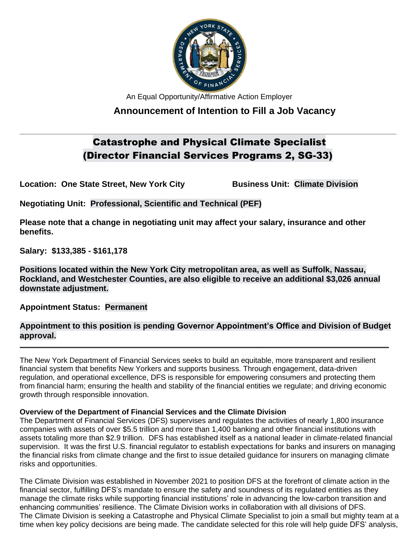

An Equal Opportunity/Affirmative Action Employer

# **Announcement of Intention to Fill a Job Vacancy**

# Catastrophe and Physical Climate Specialist (Director Financial Services Programs 2, SG-33)

**\_\_\_\_\_\_\_\_\_\_\_\_\_\_\_\_\_\_\_\_\_\_\_\_\_\_\_\_\_\_\_\_\_\_\_\_\_\_\_\_\_\_\_\_\_\_\_\_\_\_\_\_\_\_\_\_\_\_\_\_\_\_\_\_\_\_\_\_\_\_\_\_\_\_\_\_\_\_\_\_\_\_\_\_\_\_\_\_\_\_\_\_\_\_\_\_\_\_\_**

**Location: One State Street, New York City <b>Business Unit: Climate Division** 

**Negotiating Unit: Professional, Scientific and Technical (PEF)**

**Please note that a change in negotiating unit may affect your salary, insurance and other benefits.**

**Salary: \$133,385 - \$161,178** 

**Positions located within the New York City metropolitan area, as well as Suffolk, Nassau, Rockland, and Westchester Counties, are also eligible to receive an additional \$3,026 annual downstate adjustment.**

**Appointment Status: Permanent**

## **Appointment to this position is pending Governor Appointment's Office and Division of Budget approval.**

**\_\_\_\_\_\_\_\_\_\_\_\_\_\_\_\_\_\_\_\_\_\_\_\_\_\_\_\_\_\_\_\_\_\_\_\_\_\_\_\_\_\_\_\_\_\_\_\_\_\_\_\_\_\_\_\_\_\_\_\_\_\_\_\_\_\_\_\_\_\_\_\_\_\_\_\_\_\_\_\_\_\_\_\_\_\_\_\_\_\_\_\_\_\_\_\_\_**

The New York Department of Financial Services seeks to build an equitable, more transparent and resilient financial system that benefits New Yorkers and supports business. Through engagement, data-driven regulation, and operational excellence, DFS is responsible for empowering consumers and protecting them from financial harm; ensuring the health and stability of the financial entities we regulate; and driving economic growth through responsible innovation.

### **Overview of the Department of Financial Services and the Climate Division**

The Department of Financial Services (DFS) supervises and regulates the activities of nearly 1,800 insurance companies with assets of over \$5.5 trillion and more than 1,400 banking and other financial institutions with assets totaling more than \$2.9 trillion. DFS has established itself as a national leader in climate-related financial supervision. It was the first U.S. financial regulator to establish expectations for banks and insurers on managing the financial risks from climate change and the first to issue detailed guidance for insurers on managing climate risks and opportunities.

The Climate Division was established in November 2021 to position DFS at the forefront of climate action in the financial sector, fulfilling DFS's mandate to ensure the safety and soundness of its regulated entities as they manage the climate risks while supporting financial institutions' role in advancing the low-carbon transition and enhancing communities' resilience. The Climate Division works in collaboration with all divisions of DFS. The Climate Division is seeking a Catastrophe and Physical Climate Specialist to join a small but mighty team at a time when key policy decisions are being made. The candidate selected for this role will help guide DFS' analysis,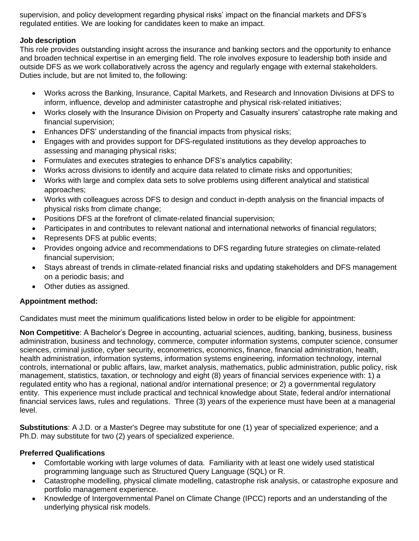supervision, and policy development regarding physical risks' impact on the financial markets and DFS's regulated entities. We are looking for candidates keen to make an impact.

#### **Job description**

This role provides outstanding insight across the insurance and banking sectors and the opportunity to enhance and broaden technical expertise in an emerging field. The role involves exposure to leadership both inside and outside DFS as we work collaboratively across the agency and regularly engage with external stakeholders. Duties include, but are not limited to, the following:

- Works across the Banking, Insurance, Capital Markets, and Research and Innovation Divisions at DFS to inform, influence, develop and administer catastrophe and physical risk-related initiatives;
- Works closely with the Insurance Division on Property and Casualty insurers' catastrophe rate making and financial supervision;
- Enhances DFS' understanding of the financial impacts from physical risks;
- Engages with and provides support for DFS-regulated institutions as they develop approaches to assessing and managing physical risks;
- Formulates and executes strategies to enhance DFS's analytics capability;
- Works across divisions to identify and acquire data related to climate risks and opportunities;
- Works with large and complex data sets to solve problems using different analytical and statistical approaches;
- Works with colleagues across DFS to design and conduct in-depth analysis on the financial impacts of physical risks from climate change;
- Positions DFS at the forefront of climate-related financial supervision;
- Participates in and contributes to relevant national and international networks of financial regulators;
- Represents DFS at public events;
- Provides ongoing advice and recommendations to DFS regarding future strategies on climate-related financial supervision;
- Stays abreast of trends in climate-related financial risks and updating stakeholders and DFS management on a periodic basis; and
- Other duties as assigned.

### **Appointment method:**

Candidates must meet the minimum qualifications listed below in order to be eligible for appointment:

**Non Competitive**: A Bachelor's Degree in accounting, actuarial sciences, auditing, banking, business, business administration, business and technology, commerce, computer information systems, computer science, consumer sciences, criminal justice, cyber security, econometrics, economics, finance, financial administration, health, health administration, information systems, information systems engineering, information technology, internal controls, international or public affairs, law, market analysis, mathematics, public administration, public policy, risk management, statistics, taxation, or technology and eight (8) years of financial services experience with: 1) a regulated entity who has a regional, national and/or international presence; or 2) a governmental regulatory entity. This experience must include practical and technical knowledge about State, federal and/or international financial services laws, rules and regulations. Three (3) years of the experience must have been at a managerial level.

**Substitutions**: A J.D. or a Master's Degree may substitute for one (1) year of specialized experience; and a Ph.D. may substitute for two (2) years of specialized experience.

### **Preferred Qualifications**

- Comfortable working with large volumes of data. Familiarity with at least one widely used statistical programming language such as Structured Query Language (SQL) or R.
- Catastrophe modelling, physical climate modelling, catastrophe risk analysis, or catastrophe exposure and portfolio management experience.
- Knowledge of Intergovernmental Panel on Climate Change (IPCC) reports and an understanding of the underlying physical risk models.